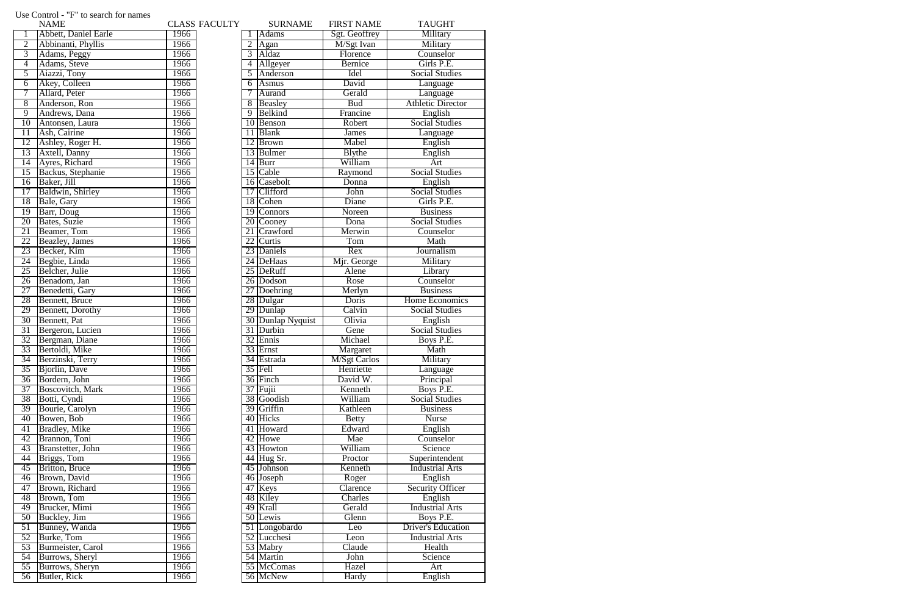|                 | Osc Control - Thuo scarch for names<br><b>NAME</b> |      | <b>CLASS FACULTY</b> |    | <b>SURNAME</b>    | <b>FIRST NAME</b>   | <b>TAUGHT</b>             |
|-----------------|----------------------------------------------------|------|----------------------|----|-------------------|---------------------|---------------------------|
|                 | Abbett, Daniel Earle                               | 1966 |                      |    | <b>Adams</b>      | Sgt. Geoffrey       | Military                  |
| $\overline{2}$  | Abbinanti, Phyllis                                 | 1966 |                      | 2  | Agan              | M/Sgt Ivan          | Military                  |
| 3               | Adams, Peggy                                       | 1966 |                      | 3  | Aldaz             | Florence            | Counselor                 |
| 4               | Adams, Steve                                       | 1966 |                      | 4  | Allgeyer          | <b>Bernice</b>      | Girls P.E.                |
| 5               | Aiazzi, Tony                                       | 1966 |                      | 5  | Anderson          | Idel                | <b>Social Studies</b>     |
| 6               | Akey, Colleen                                      | 1966 |                      | 6  | Asmus             | David               | Language                  |
| 7               | Allard, Peter                                      | 1966 |                      |    | Aurand            | Gerald              | Language                  |
| 8               | Anderson, Ron                                      | 1966 |                      | 8  | Beasley           | <b>Bud</b>          | <b>Athletic Director</b>  |
| $\overline{9}$  | Andrews, Dana                                      | 1966 |                      | 9  | Belkind           | Francine            | English                   |
| 10              | Antonsen, Laura                                    | 1966 |                      | 10 | Benson            | Robert              | <b>Social Studies</b>     |
| 11              | Ash, Cairine                                       | 1966 |                      | 11 | <b>Blank</b>      | James               | Language                  |
| 12              | Ashley, Roger H.                                   | 1966 |                      | 12 | <b>Brown</b>      | Mabel               | English                   |
| 13              | Axtell, Danny                                      | 1966 |                      | 13 | Bulmer            | <b>B</b> lythe      | English                   |
| $\overline{14}$ | Ayres, Richard                                     | 1966 |                      | 14 | Burr              | William             | Art                       |
| 15              | Backus, Stephanie                                  | 1966 |                      | 15 | <b>Cable</b>      | Raymond             | <b>Social Studies</b>     |
| 16              | Baker, Jill                                        | 1966 |                      |    | 16 Casebolt       | Donna               | English                   |
| $\overline{17}$ | Baldwin, Shirley                                   | 1966 |                      | 17 | <b>Clifford</b>   | John                | <b>Social Studies</b>     |
| 18              | Bale, Gary                                         | 1966 |                      |    | 18 Cohen          | Diane               | Girls P.E.                |
| 19              | Barr, Doug                                         | 1966 |                      | 19 | <b>Connors</b>    | Noreen              | <b>Business</b>           |
| 20              | Bates, Suzie                                       | 1966 |                      | 20 | Cooney            | Dona                | <b>Social Studies</b>     |
| 21              | Beamer, Tom                                        | 1966 |                      | 21 | Crawford          | Merwin              | Counselor                 |
| 22              | Beazley, James                                     | 1966 |                      | 22 | Curtis            | Tom                 | Math                      |
| 23              | Becker, Kim                                        | 1966 |                      |    | 23 Daniels        | Rex                 | Journalism                |
| 24              | Begbie, Linda                                      | 1966 |                      |    | 24 DeHaas         | Mjr. George         | Military                  |
| 25              | Belcher, Julie                                     | 1966 |                      |    | 25 DeRuff         | Alene               | Library                   |
| $\overline{26}$ | Benadom, Jan                                       | 1966 |                      |    | 26 Dodson         | Rose                | Counselor                 |
| $\overline{27}$ | Benedetti, Gary                                    | 1966 |                      | 27 | Doehring          | Merlyn              | <b>Business</b>           |
| 28              | Bennett, Bruce                                     | 1966 |                      |    | 28 Dulgar         | Doris               | Home Economics            |
| 29              | <b>Bennett</b> , Dorothy                           | 1966 |                      |    | 29 Dunlap         | Calvin              | <b>Social Studies</b>     |
| 30              | Bennett, Pat                                       | 1966 |                      |    | 30 Dunlap Nyquist | Olivia              | English                   |
| $\overline{31}$ | Bergeron, Lucien                                   | 1966 |                      |    | 31 Durbin         | Gene                | <b>Social Studies</b>     |
| 32              | Bergman, Diane                                     | 1966 |                      | 32 | Ennis             | Michael             | Boys P.E.                 |
| 33              | Bertoldi, Mike                                     | 1966 |                      |    | 33 Ernst          | Margaret            | Math                      |
| $\overline{34}$ | Berzinski, Terry                                   | 1966 |                      |    | 34 Estrada        | <b>M/Sgt Carlos</b> | Military                  |
| $\overline{35}$ | Bjorlin, Dave                                      | 1966 |                      |    | $35$ Fell         | Henriette           | Language                  |
| $\overline{36}$ | Bordern, John                                      | 1966 |                      |    | 36 Finch          | David W.            | Principal                 |
| 37              | <b>Boscovitch</b> , Mark                           | 1966 |                      |    | $37$ Fujii        | Kenneth             | Boys P.E.                 |
| 38              | Botti, Cyndi                                       | 1966 |                      |    | 38 Goodish        | William             | <b>Social Studies</b>     |
| 39              | Bourie, Carolyn                                    | 1966 |                      |    | 39 Griffin        | Kathleen            | <b>Business</b>           |
| 40              | Bowen, Bob                                         | 1966 |                      |    | 40 Hicks          | <b>Betty</b>        | <b>Nurse</b>              |
| 41              | <b>Bradley</b> , Mike                              | 1966 |                      |    | 41 Howard         | Edward              | English                   |
| 42              | Brannon, Toni                                      | 1966 |                      |    | 42 Howe           | Mae                 | Counselor                 |
| 43              | Branstetter, John                                  | 1966 |                      |    | 43 Howton         | William             | Science                   |
| 44              | Briggs, Tom                                        | 1966 |                      |    | 44 Hug Sr.        | Proctor             | Superintendent            |
| $\overline{45}$ | <b>Britton</b> , Bruce                             | 1966 |                      |    | 45 Johnson        | Kenneth             | <b>Industrial Arts</b>    |
| 46              | Brown, David                                       | 1966 |                      |    | 46 Joseph         | Roger               | English                   |
| 47              | Brown, Richard                                     | 1966 |                      |    | 47 Keys           | Clarence            | <b>Security Officer</b>   |
| 48              | Brown, Tom                                         | 1966 |                      |    | 48 Kiley          | Charles             | English                   |
| 49              | Brucker, Mimi                                      | 1966 |                      |    | 49 Krall          | Gerald              | <b>Industrial Arts</b>    |
| $\overline{50}$ | <b>Buckley</b> , Jim                               | 1966 |                      |    | 50 Lewis          | Glenn               | Boys P.E.                 |
| $\overline{51}$ | Bunney, Wanda                                      | 1966 |                      |    | 51 Longobardo     | Leo                 | <b>Driver's Education</b> |
| 52              | Burke, Tom                                         | 1966 |                      |    | 52 Lucchesi       | Leon                | <b>Industrial Arts</b>    |
| 53              | Burmeister, Carol                                  | 1966 |                      |    | 53 Mabry          | Claude              | Health                    |
| 54              | Burrows, Sheryl                                    | 1966 |                      |    | 54 Martin         | John                | Science                   |
| $\overline{55}$ | Burrows, Sheryn                                    | 1966 |                      |    | 55 McComas        | Hazel               | Art                       |
| $\overline{56}$ | Butler, Rick                                       | 1966 |                      |    | 56 McNew          | Hardy               | English                   |
|                 |                                                    |      |                      |    |                   |                     |                           |

## Use Control - "F" to search for names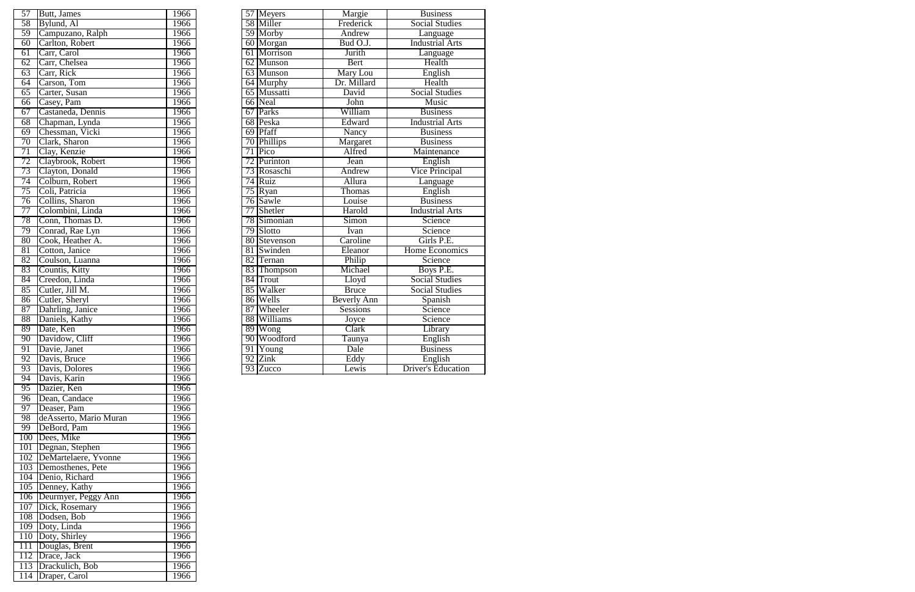| 57              | Butt, James       | 1966 |    | 57 Meyers      | Margie             | <b>Business</b>           |
|-----------------|-------------------|------|----|----------------|--------------------|---------------------------|
| 58              | Bylund, Al        | 1966 |    | 58 Miller      | Frederick          | <b>Social Studies</b>     |
| 59              | Campuzano, Ralph  | 1966 |    | 59 Morby       | Andrew             | Language                  |
| 60              | Carlton, Robert   | 1966 |    | 60 Morgan      | Bud O.J.           | <b>Industrial Arts</b>    |
| $\overline{61}$ | Carr, Carol       | 1966 |    | 61 Morrison    | Jurith             | Language                  |
| 62              | Carr, Chelsea     | 1966 |    | 62 Munson      | Bert               | Health                    |
| 63              | Carr, Rick        | 1966 |    | 63 Munson      | Mary Lou           | English                   |
| 64              | Carson, Tom       | 1966 |    | 64 Murphy      | Dr. Millard        | Health                    |
| 65              | Carter, Susan     | 1966 |    | 65 Mussatti    | David              | <b>Social Studies</b>     |
| 66              | Casey, Pam        | 1966 |    | 66 Neal        | John               | Music                     |
| 67              | Castaneda, Dennis | 1966 | 67 | Parks          | William            | <b>Business</b>           |
| 68              | Chapman, Lynda    | 1966 |    | 68 Peska       | Edward             | <b>Industrial Arts</b>    |
| 69              | Chessman, Vicki   | 1966 |    | 69 Pfaff       | Nancy              | <b>Business</b>           |
| 70              | Clark, Sharon     | 1966 |    | 70 Phillips    | Margaret           | <b>Business</b>           |
| $\overline{71}$ | Clay, Kenzie      | 1966 | 71 | Pico           | Alfred             | Maintenance               |
| $\overline{72}$ | Claybrook, Robert | 1966 | 72 | Purinton       | Jean               | English                   |
| 73              | Clayton, Donald   | 1966 |    | 73 Rosaschi    | Andrew             | <b>Vice Principal</b>     |
| 74              | Colburn, Robert   | 1966 |    | 74 Ruiz        | Allura             | Language                  |
| $\overline{75}$ | Coli, Patricia    | 1966 |    | 75 Ryan        | Thomas             | English                   |
| 76              | Collins, Sharon   | 1966 |    | $76$ Sawle     | Louise             | <b>Business</b>           |
| 77              | Colombini, Linda  | 1966 | 77 | Shetler        | Harold             | <b>Industrial Arts</b>    |
| 78              | Conn, Thomas D.   | 1966 |    | 78 Simonian    | Simon              | Science                   |
| 79              | Conrad, Rae Lyn   | 1966 |    | 79 Slotto      | Ivan               | Science                   |
| $\overline{80}$ | Cook, Heather A.  | 1966 |    | 80 Stevenson   | Caroline           | Girls P.E.                |
| $\overline{81}$ | Cotton, Janice    | 1966 | 81 | Swinden        | Eleanor            | <b>Home Economics</b>     |
| $\overline{82}$ | Coulson, Luanna   | 1966 |    | 82 Ternan      | Philip             | Science                   |
| 83              | Countis, Kitty    | 1966 |    | 83 Thompson    | Michael            | Boys P.E.                 |
| 84              | Creedon, Linda    | 1966 |    | 84 Trout       | Lloyd              | <b>Social Studies</b>     |
| $\overline{85}$ | Cutler, Jill M.   | 1966 |    | 85 Walker      | <b>Bruce</b>       | <b>Social Studies</b>     |
| 86              | Cutler, Sheryl    | 1966 |    | 86 Wells       | <b>Beverly Ann</b> | Spanish                   |
| 87              | Dahrling, Janice  | 1966 | 87 | <b>Wheeler</b> | <b>Sessions</b>    | Science                   |
| 88              | Daniels, Kathy    | 1966 |    | 88 Williams    | Joyce              | Science                   |
| 89              | Date, Ken         | 1966 |    | 89 Wong        | Clark              | Library                   |
| 90              | Davidow, Cliff    | 1966 |    | 90 Woodford    | Taunya             | English                   |
| 91              | Davie, Janet      | 1966 | 91 | Young          | Dale               | <b>Business</b>           |
| 92              | Davis, Bruce      | 1966 | 92 | Zink           | Eddy               | English                   |
| 93              | Davis, Dolores    | 1966 |    | 93 Zucco       | Lewis              | <b>Driver's Education</b> |

| $\overline{57}$  | Butt, James            | 1966        |
|------------------|------------------------|-------------|
| 58               | Bylund, Al             | 1966        |
| $\overline{59}$  | Campuzano, Ralph       | 1966        |
| 60               | Carlton, Robert        | 1966        |
| 61               | Carr, Carol            | 1966        |
| 62               | Carr, Chelsea          | 1966        |
| 63               | Carr, Rick             | 1966        |
| 64               | Carson, Tom            | 1966        |
| 65               | Carter, Susan          | 1966        |
| 66               | Casey, Pam             | 1966        |
| 67               | Castaneda, Dennis      | 1966        |
| 68               | Chapman, Lynda         | 1966        |
| 69               | Chessman, Vicki        | 1966        |
| $\overline{70}$  | Clark, Sharon          | 1966        |
| 71               | Clay, Kenzie           | 1966        |
| 72               | Claybrook, Robert      | 1966        |
| 73               |                        |             |
|                  | Clayton, Donald        | 1966        |
| 74               | Colburn, Robert        | 1966        |
| 75               | Coli, Patricia         | 1966        |
| 76               | Collins, Sharon        | 1966        |
| 77               | Colombini, Linda       | 1966        |
| 78               | Conn, Thomas D.        | 1966        |
| 79               | Conrad, Rae Lyn        | 1966        |
| 80               | Cook, Heather A.       | 1966        |
| 81               | Cotton, Janice         | 1966        |
| 82               | Coulson, Luanna        | 1966        |
| 83               | Countis, Kitty         | 1966        |
| 84               | Creedon, Linda         | 1966        |
| 85               | Cutler, Jill M.        | 1966        |
| 86               | Cutler, Sheryl         | 1966        |
| $\overline{87}$  | Dahrling, Janice       | <b>1966</b> |
| 88               | Daniels, Kathy         | 1966        |
| 89               | Date, Ken              | 1966        |
| 90               | Davidow, Cliff         | 1966        |
| 91               | Davie, Janet           | 1966        |
| 92               | Davis, Bruce           | 1966        |
| 93               | Davis, Dolores         | 1966        |
| 94               | Davis, Karin           | 1966        |
| 95               | Dazier, Ken            | 1966        |
| 96               | Dean, Candace          | 1966        |
| 97               | Deaser, Pam            | 1966        |
| 98               | deAsserto, Mario Muran | 1966        |
| 99               | DeBord, Pam            | 1966        |
| 100              | Dees, Mike             | 1966        |
| 101              | Degnan, Stephen        | 1966        |
| 102              | DeMartelaere, Yvonne   | 1966        |
| 103              | Demosthenes, Pete      | 1966        |
| 104              | Denio, Richard         | 1966        |
| 105              | Denney, Kathy          | 1966        |
| 106              | Deurmyer, Peggy Ann    | 1966        |
| 107              | Dick, Rosemary         | 1966        |
| 108              | Dodsen, Bob            | 1966        |
| 109              | Doty, Linda            | 1966        |
| <b>110</b>       | Doty, Shirley          | 1966        |
| 111              | Douglas, Brent         | 1966        |
| 112              | Drace, Jack            | 1966        |
| 113              | Drackulich, Bob        | 1966        |
| $\overline{114}$ | Draper, Carol          | 1966        |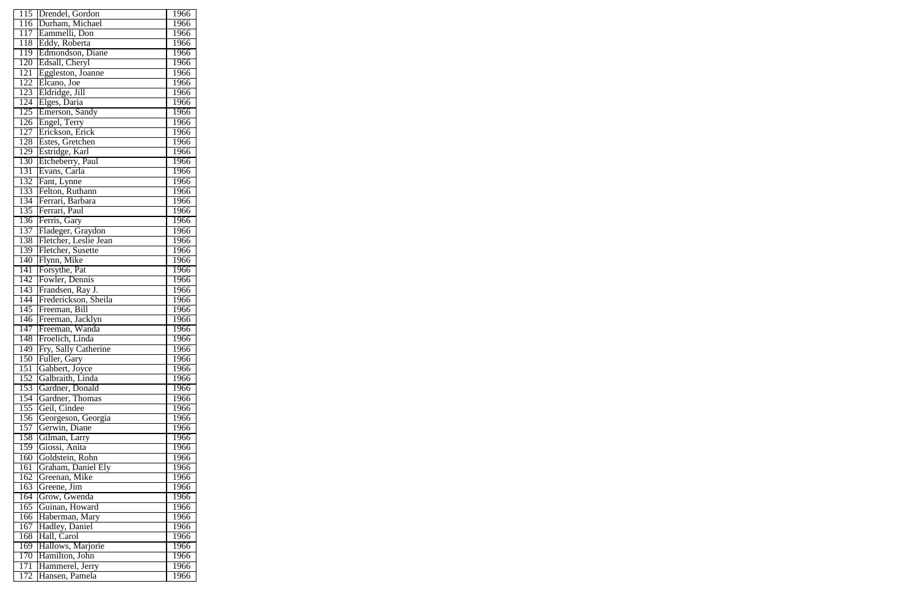|                  | 115 Drendel, Gordon   | 1966 |
|------------------|-----------------------|------|
| $\overline{116}$ | Durham, Michael       | 1966 |
| 117              | Eammelli, Don         | 1966 |
| 118              | Eddy, Roberta         | 1966 |
| 119              | Edmondson, Diane      | 1966 |
| 120              | Edsall, Cheryl        | 1966 |
| 121              | Eggleston, Joanne     | 1966 |
| 122              | Elcano, Joe           | 1966 |
| 123              | Eldridge, Jill        | 1966 |
| 124              | Elges, Daria          | 1966 |
| 125              | Emerson, Sandy        | 1966 |
| 126              | Engel, Terry          | 1966 |
| 127              | Erickson, Erick       | 1966 |
| 128              | Estes, Gretchen       | 1966 |
| $\overline{129}$ | Estridge, Karl        | 1966 |
| 130              | Etcheberry, Paul      | 1966 |
| 131              | Evans, Carla          | 1966 |
| 132              |                       | 1966 |
|                  | Fant, Lynne           |      |
| 133              | Felton, Ruthann       | 1966 |
| 134              | Ferrari, Barbara      | 1966 |
| 135              | Ferrari, Paul         | 1966 |
| 136              | Ferris, Gary          | 1966 |
| 137              | Fladeger, Graydon     | 1966 |
| 138              | Fletcher, Leslie Jean | 1966 |
| 139              | Fletcher, Susette     | 1966 |
| 140              | Flynn, Mike           | 1966 |
| 141              | Forsythe, Pat         | 1966 |
| 142              | Fowler, Dennis        | 1966 |
| 143              | Frandsen, Ray J.      | 1966 |
| 144              | Frederickson, Sheila  | 1966 |
| 145              | Freeman, Bill         | 1966 |
| 146              | Freeman, Jacklyn      | 1966 |
| 147              | Freeman, Wanda        | 1966 |
| 148              | Froelich, Linda       | 1966 |
| 149              | Fry, Sally Catherine  | 1966 |
| 150              | Fuller, Gary          | 1966 |
| 151              | Gabbert, Joyce        | 1966 |
| 152              | Galbraith, Linda      | 1966 |
| 153              | Gardner, Donald       | 1966 |
| $\overline{154}$ | Gardner, Thomas       | 1966 |
| 155              | Geil, Cindee          | 1966 |
| 156              | Georgeson, Georgia    | 1966 |
| 157              | Gerwin, Diane         | 1966 |
| 158              | Gilman, Larry         | 1966 |
| 159              | Giossi, Anita         | 1966 |
| 160              | Goldstein, Rohn       | 1966 |
| 161              | Graham, Daniel Ely    | 1966 |
| $16\overline{2}$ | Greenan, Mike         | 1966 |
| 163              | Greene, Jim           | 1966 |
| 164              | Grow, Gwenda          | 1966 |
| 165              | Guinan, Howard        | 1966 |
| 166              | Haberman, Mary        | 1966 |
| 167              | Hadley, Daniel        | 1966 |
| 168              | Hall, Carol           | 1966 |
| 169              | Hallows, Marjorie     | 1966 |
| 170              | Hamilton, John        | 1966 |
| 171              | Hammerel, Jerry       | 1966 |
|                  |                       |      |
| 172              | Hansen, Pamela        | 1966 |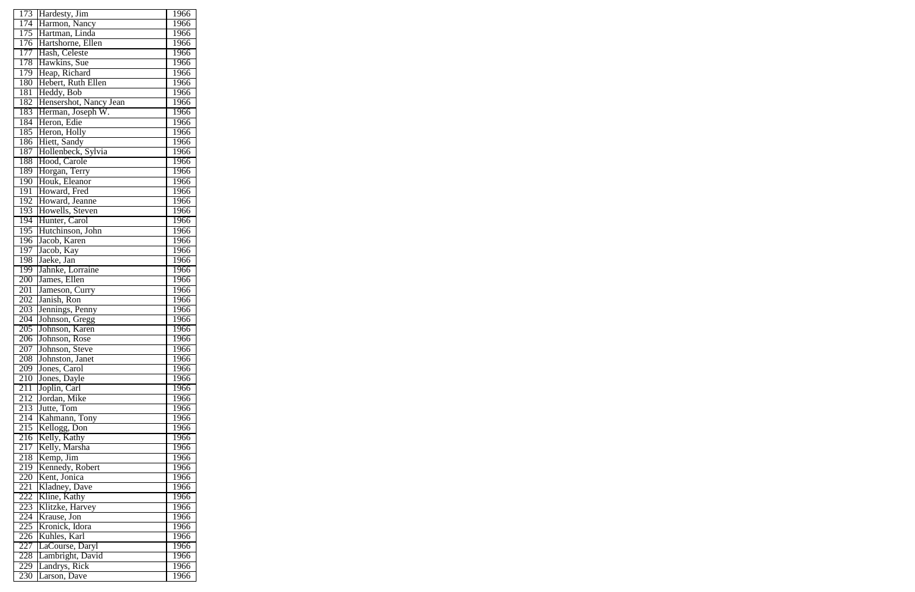| 173 | Hardesty, Jim                  | 1966 |
|-----|--------------------------------|------|
| 174 | Harmon, Nancy                  | 1966 |
| 175 | Hartman, Linda                 | 1966 |
| 176 | Hartshorne, Ellen              | 1966 |
| 177 | Hash, Celeste                  | 1966 |
| 178 | Hawkins, Sue                   | 1966 |
| 179 | Heap, Richard                  | 1966 |
| 180 | Hebert, Ruth Ellen             | 1966 |
| 181 | Heddy, Bob                     | 1966 |
| 182 | Hensershot, Nancy Jean         | 1966 |
| 183 | Herman, Joseph W.              | 1966 |
| 184 | Heron, Edie                    | 1966 |
| 185 | Heron, Holly                   | 1966 |
| 186 | Hiett, Sandy                   | 1966 |
| 187 | Hollenbeck, Sylvia             | 1966 |
| 188 | Hood, Carole                   | 1966 |
| 189 | Horgan, Terry                  | 1966 |
| 190 | Houk, Eleanor                  | 1966 |
| 191 | Howard, Fred                   | 1966 |
| 192 | Howard, Jeanne                 | 1966 |
|     |                                |      |
| 193 | Howells, Steven                | 1966 |
| 194 | Hunter, Carol                  | 1966 |
| 195 | Hutchinson, John               | 1966 |
| 196 | Jacob, Karen                   | 1966 |
| 197 | Jacob, Kay                     | 1966 |
| 198 | Jaeke, Jan                     | 1966 |
| 199 | Jahnke, Lorraine               | 1966 |
| 200 | James, Ellen                   | 1966 |
| 201 | Jameson, Curry                 | 1966 |
| 202 | Janish, Ron                    | 1966 |
| 203 | Jennings, Penny                | 1966 |
| 204 | Johnson, Gregg                 | 1966 |
| 205 | Johnson, Karen                 | 1966 |
| 206 | Johnson, Rose                  | 1966 |
| 207 | Johnson, Steve                 | 1966 |
| 208 | Johnston, Janet                | 1966 |
| 209 | Jones, Carol                   | 1966 |
| 210 | Jones, Dayle                   | 1966 |
| 211 | Joplin, Carl                   | 1966 |
| 212 | Jordan, Mike                   | 1966 |
| 213 | Jutte, Tom                     | 1966 |
| 214 | Kahmann, Tony                  | 1966 |
| 215 | Kellogg, Don                   | 1966 |
| 216 | Kelly, Kathy                   | 1966 |
| 217 | Kelly, Marsha                  | 1966 |
| 218 | Kemp, Jim                      | 1966 |
| 219 | Kennedy, Robert                | 1966 |
| 220 | Kent, Jonica                   | 1966 |
| 221 | Kladney, Dave                  | 1966 |
| 222 | Kline, Kathy                   | 1966 |
| 223 |                                | 1966 |
| 224 | Klitzke, Harvey<br>Krause, Jon | 1966 |
| 225 | Kronick, Idora                 | 1966 |
| 226 | Kuhles, Karl                   | 1966 |
| 227 | LaCourse, Daryl                | 1966 |
| 228 | Lambright, David               | 1966 |
| 229 | Landrys, Rick                  | 1966 |
|     |                                |      |
| 230 | Larson, Dave                   | 1966 |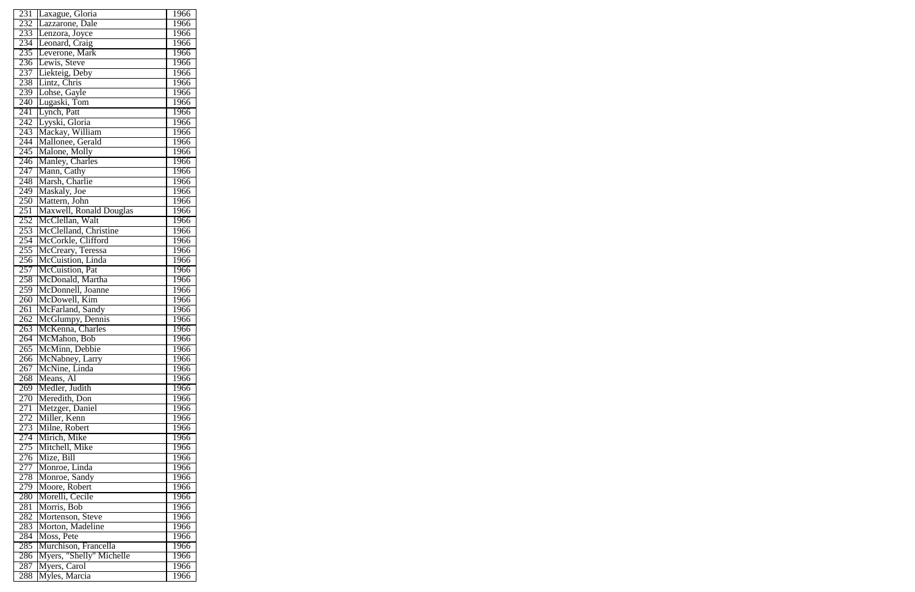| 231              | Laxague, Gloria          | 1966 |
|------------------|--------------------------|------|
| 232              | Lazzarone, Dale          | 1966 |
| 233              | Lenzora, Joyce           | 1966 |
| 234              | Leonard, Craig           | 1966 |
| 235              | Leverone, Mark           | 1966 |
| 236              | Lewis, Steve             | 1966 |
| 237              | Liekteig, Deby           | 1966 |
| 238              | Lintz, Chris             | 1966 |
| 239              | Lohse, Gayle             | 1966 |
| 240              | Lugaski, Tom             | 1966 |
| 241              |                          |      |
|                  | Lynch, Patt              | 1966 |
| 242              | Lyyski, Gloria           | 1966 |
| 243              | Mackay, William          | 1966 |
| 244              | Mallonee, Gerald         | 1966 |
| 245              | Malone, Molly            | 1966 |
| 246              | Manley, Charles          | 1966 |
| 247              | Mann, Cathy              | 1966 |
| 248              | Marsh, Charlie           | 1966 |
| 249              | Maskaly, Joe             | 1966 |
| 250              | Mattern, John            | 1966 |
| 251              | Maxwell, Ronald Douglas  | 1966 |
| 252              | McClellan, Walt          | 1966 |
| 253              | McClelland, Christine    | 1966 |
| 254              | McCorkle, Clifford       | 1966 |
| 255              | McCreary, Teressa        | 1966 |
| 256              | McCuistion, Linda        | 1966 |
| 257              | McCuistion, Pat          | 1966 |
| 258              | McDonald, Martha         | 1966 |
| 259              | McDonnell, Joanne        | 1966 |
| 260              | McDowell, Kim            | 1966 |
| $\overline{261}$ | McFarland, Sandy         | 1966 |
| 262              | McGlumpy, Dennis         | 1966 |
| 263              | McKenna, Charles         | 1966 |
| 264              | McMahon, Bob             | 1966 |
| $\overline{265}$ | McMinn, Debbie           | 1966 |
| 266              | McNabney, Larry          | 1966 |
| 267              | McNine, Linda            | 1966 |
| 268              | Means, Al                | 1966 |
| 269              | Medler, Judith           | 1966 |
| 270              | Meredith, Don            | 1966 |
| 271              | Metzger, Daniel          | 1966 |
| 272              | Miller, Kenn             | 1966 |
| 273              | Milne, Robert            | 1966 |
| 274              | Mirich, Mike             | 1966 |
| 275              | Mitchell, Mike           | 1966 |
| 276              | Mize, Bill               | 1966 |
| 277              | Monroe, Linda            | 1966 |
| 278              | Monroe, Sandy            | 1966 |
| 279              | Moore, Robert            | 1966 |
| 280              | Morelli, Cecile          | 1966 |
| 281              | Morris, Bob              | 1966 |
| 282              | Mortenson, Steve         | 1966 |
| 283              | Morton, Madeline         | 1966 |
| 284              | Moss, Pete               | 1966 |
| 285              | Murchison, Francella     | 1966 |
| 286              | Myers, "Shelly" Michelle | 1966 |
| 287              | Myers, Carol             | 1966 |
| 288              | Myles, Marcia            | 1966 |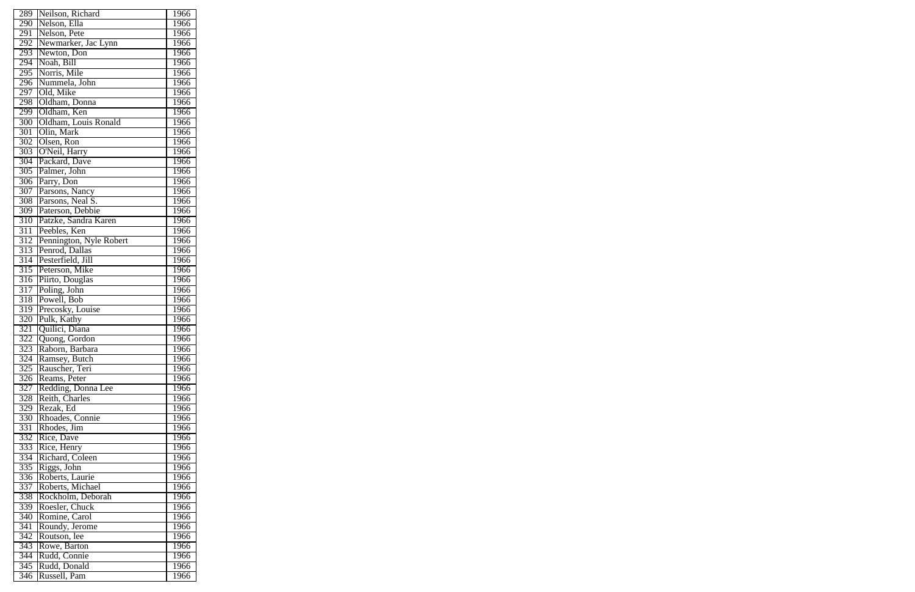| $\overline{289}$ | Neilson, Richard        | 1966 |
|------------------|-------------------------|------|
| 290              | Nelson, Ella            | 1966 |
| 291              | Nelson, Pete            | 1966 |
| 292              | Newmarker, Jac Lynn     | 1966 |
| 293              | Newton, Don             | 1966 |
| 294              | Noah, Bill              | 1966 |
| 295              | Norris, Mile            | 1966 |
| 296              | Nummela, John           | 1966 |
| 297              | Old, Mike               | 1966 |
| 298              | Oldham, Donna           | 1966 |
| 299              | Oldham, Ken             | 1966 |
| 300              | Oldham, Louis Ronald    | 1966 |
| 301              | Olin, Mark              | 1966 |
| 302              | Olsen, Ron              | 1966 |
| 303              | O'Neil, Harry           | 1966 |
| 304              | Packard, Dave           | 1966 |
| 305              | Palmer, John            | 1966 |
| 306              | Parry, Don              | 1966 |
|                  |                         | 1966 |
| 307              | Parsons, Nancy          |      |
| 308              | Parsons, Neal S.        | 1966 |
| $\overline{309}$ | Paterson, Debbie        | 1966 |
| 310              | Patzke, Sandra Karen    | 1966 |
| 311              | Peebles, Ken            | 1966 |
| 312              | Pennington, Nyle Robert | 1966 |
| 313              | Penrod, Dallas          | 1966 |
| 314              | Pesterfield, Jill       | 1966 |
| 315              | Peterson, Mike          | 1966 |
| $\overline{316}$ | Piirto, Douglas         | 1966 |
| $\overline{317}$ | Poling, John            | 1966 |
| 318              | Powell, Bob             | 1966 |
| 319              | Precosky, Louise        | 1966 |
| 320              | Pulk, Kathy             | 1966 |
| $\overline{321}$ | Quilici, Diana          | 1966 |
| 322              | Quong, Gordon           | 1966 |
| 323              | Raborn, Barbara         | 1966 |
| 324              | Ramsey, Butch           | 1966 |
| 325              | Rauscher, Teri          | 1966 |
| 326              | Reams, Peter            | 1966 |
| 327              | Redding, Donna Lee      | 1966 |
| 328              | Reith, Charles          | 1966 |
| 329              | Rezak, Ed               | 1966 |
| 330              | Rhoades, Connie         | 1966 |
| 331              | Rhodes, Jim             | 1966 |
| 332              | Rice, Dave              | 1966 |
| 333              | Rice, Henry             | 1966 |
| 334              | Richard, Coleen         | 1966 |
| 335              | Riggs, John             | 1966 |
| 336              | Roberts, Laurie         | 1966 |
| 337              | Roberts, Michael        | 1966 |
| 338              | Rockholm, Deborah       | 1966 |
| 339              | Roesler, Chuck          | 1966 |
| 340              | Romine, Carol           | 1966 |
| 341              | Roundy, Jerome          | 1966 |
| 342              | Routson, lee            | 1966 |
| $\overline{343}$ | Rowe, Barton            | 1966 |
| 344              | Rudd, Connie            | 1966 |
| 345              | Rudd, Donald            | 1966 |
| 346              | Russell, Pam            | 1966 |
|                  |                         |      |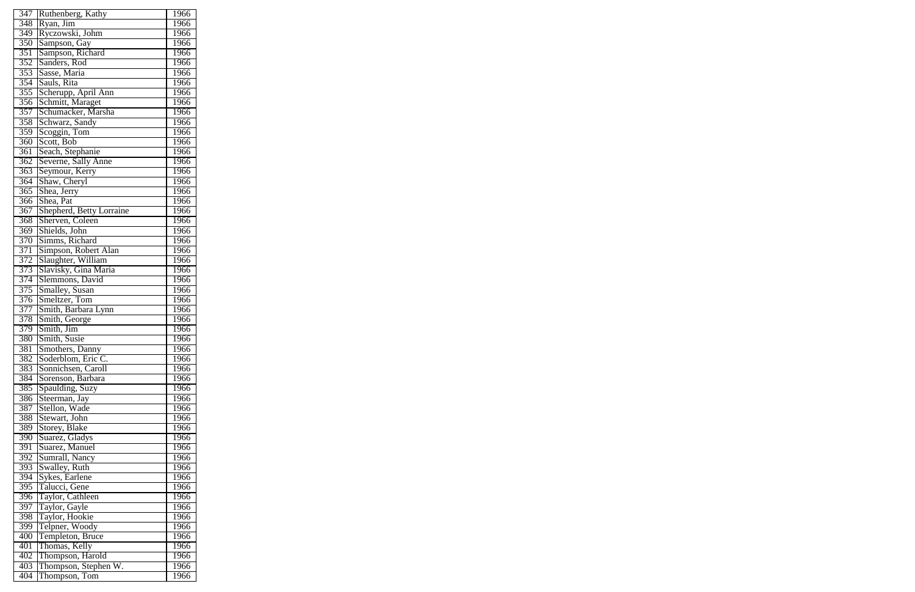| 347              | Ruthenberg, Kathy                     | 1966        |
|------------------|---------------------------------------|-------------|
| 348              | Ryan, Jim                             | 1966        |
| $\overline{349}$ | Ryczowski, Johm                       | 1966        |
| 350              | Sampson, Gay                          | 1966        |
| 351              | Sampson, Richard                      | 1966        |
| 352              | Sanders, Rod                          | 1966        |
| 353              | Sasse, Maria                          | 1966        |
| 354              | Sauls, Rita                           | 1966        |
| 355              | Scherupp, April Ann                   | 1966        |
| 356              | Schmitt, Maraget                      | 1966        |
| 357              | Schumacker, Marsha                    | 1966        |
| 358              | Schwarz, Sandy                        | 1966        |
| 359              | Scoggin, Tom                          | 1966        |
| 360              | Scott, Bob                            | 1966        |
| 361              | Seach, Stephanie                      | 1966        |
| 362              |                                       | 1966        |
| 363              | Severne, Sally Anne<br>Seymour, Kerry | 1966        |
| 364              | Shaw, Cheryl                          | 1966        |
| 365              | Shea, Jerry                           | 1966        |
| 366              | Shea, Pat                             | 1966        |
| 367              | Shepherd, Betty Lorraine              | 1966        |
| 368              | Sherven, Coleen                       | 1966        |
|                  |                                       |             |
| 369              | Shields, John                         | 1966        |
| 370              | Simms, Richard                        | 1966        |
| 371              | Simpson, Robert Alan                  | 1966        |
| 372              | Slaughter, William                    | 1966        |
| 373              | Slavisky, Gina Maria                  | 1966        |
| 374              | Slemmons, David                       | 1966        |
| 375              | Smalley, Susan                        | 1966        |
| 376              | Smeltzer, Tom                         | 1966        |
| 377              | Smith, Barbara Lynn                   | 1966        |
| 378              | Smith, George                         | 1966        |
| 379              | Smith, Jim                            | 1966        |
| 380              | Smith, Susie                          | 1966        |
| 381              | Smothers, Danny                       | 1966        |
| 382              | Soderblom, Eric C.                    | 1966        |
| 383              | Sonnichsen, Caroll                    | 1966        |
| 384              | Sorenson, Barbara                     | 1966        |
| 385              | Spaulding, Suzy                       | 1966        |
| 386              | Steerman, Jay                         | 1966        |
| 387              | Stellon, Wade                         | 1966        |
| 388              | Stewart, John                         | 1966        |
| 389              | Storey, Blake                         | 1966        |
| 390              | Suarez, Gladys                        | 1966        |
| 391              | Suarez, Manuel                        | 1966        |
| 392              | Sumrall, Nancy                        | 1966        |
| 393              | Swalley, Ruth                         | 1966        |
| 394              | Sykes, Earlene                        | <b>1966</b> |
| 395              | Talucci, Gene                         | 1966        |
| 396              | Taylor, Cathleen                      | 1966        |
| 397              |                                       | 1966        |
| 398              | Taylor, Gayle<br>Taylor, Hookie       | 1966        |
| 399              | Telpner, Woody                        | 1966        |
| 400              | Templeton, Bruce                      | 1966        |
| 401              | Thomas, Kelly                         | 1966        |
| 402              | Thompson, Harold                      | 1966        |
| 403              | Thompson, Stephen W.                  | 1966        |
| 404              | Thompson, Tom                         | 1966        |
|                  |                                       |             |